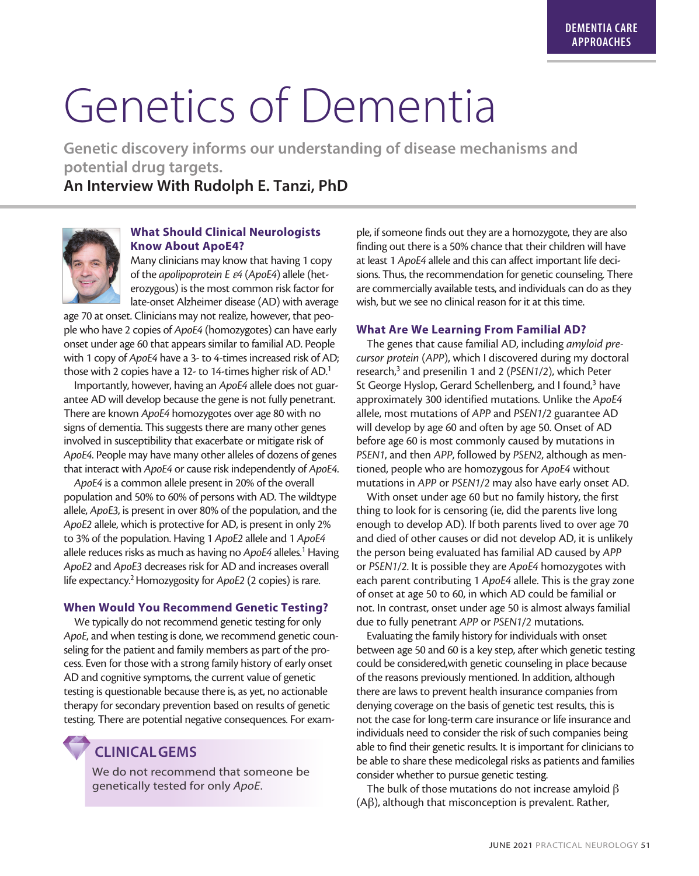# Genetics of Dementia

**Genetic discovery informs our understanding of disease mechanisms and potential drug targets.**

**An Interview With Rudolph E. Tanzi, PhD**



## **What Should Clinical Neurologists Know About ApoE4?**

Many clinicians may know that having 1 copy of the *apolipoprotein E* <sup>e</sup>*4* (*ApoE4*) allele (heterozygous) is the most common risk factor for late-onset Alzheimer disease (AD) with average

age 70 at onset. Clinicians may not realize, however, that people who have 2 copies of *ApoE4* (homozygotes) can have early onset under age 60 that appears similar to familial AD. People with 1 copy of *ApoE4* have a 3- to 4-times increased risk of AD; those with 2 copies have a 12- to 14-times higher risk of AD.<sup>1</sup>

Importantly, however, having an *ApoE4* allele does not guarantee AD will develop because the gene is not fully penetrant. There are known *ApoE4* homozygotes over age 80 with no signs of dementia. This suggests there are many other genes involved in susceptibility that exacerbate or mitigate risk of *ApoE4*. People may have many other alleles of dozens of genes that interact with *ApoE4* or cause risk independently of *ApoE4*.

*ApoE4* is a common allele present in 20% of the overall population and 50% to 60% of persons with AD. The wildtype allele, *ApoE3*, is present in over 80% of the population, and the *ApoE2* allele, which is protective for AD, is present in only 2% to 3% of the population. Having 1 *ApoE2* allele and 1 *ApoE4* allele reduces risks as much as having no ApoE4 alleles.<sup>1</sup> Having *ApoE2* and *ApoE3* decreases risk for AD and increases overall life expectancy.2 Homozygosity for *ApoE2* (2 copies) is rare.

#### **When Would You Recommend Genetic Testing?**

We typically do not recommend genetic testing for only *ApoE*, and when testing is done, we recommend genetic counseling for the patient and family members as part of the process. Even for those with a strong family history of early onset AD and cognitive symptoms, the current value of genetic testing is questionable because there is, as yet, no actionable therapy for secondary prevention based on results of genetic testing. There are potential negative consequences. For exam-

**CLINICALGEMS**

We do not recommend that someone be genetically tested for only *ApoE*.

ple, if someone finds out they are a homozygote, they are also finding out there is a 50% chance that their children will have at least 1 *ApoE4* allele and this can affect important life decisions. Thus, the recommendation for genetic counseling. There are commercially available tests, and individuals can do as they wish, but we see no clinical reason for it at this time.

#### **What Are We Learning From Familial AD?**

The genes that cause familial AD, including *amyloid precursor protein* (*APP*), which I discovered during my doctoral research,<sup>3</sup> and presenilin 1 and 2 (PSEN1/2), which Peter St George Hyslop, Gerard Schellenberg, and I found,<sup>3</sup> have approximately 300 identified mutations. Unlike the *ApoE4* allele, most mutations of *APP* and *PSEN1/2* guarantee AD will develop by age 60 and often by age 50. Onset of AD before age 60 is most commonly caused by mutations in *PSEN1*, and then *APP*, followed by *PSEN2*, although as mentioned, people who are homozygous for *ApoE4* without mutations in *APP* or *PSEN1/2* may also have early onset AD.

With onset under age 60 but no family history, the first thing to look for is censoring (ie, did the parents live long enough to develop AD). If both parents lived to over age 70 and died of other causes or did not develop AD, it is unlikely the person being evaluated has familial AD caused by *APP* or *PSEN1/2*. It is possible they are *ApoE4* homozygotes with each parent contributing 1 *ApoE4* allele. This is the gray zone of onset at age 50 to 60, in which AD could be familial or not. In contrast, onset under age 50 is almost always familial due to fully penetrant *APP* or *PSEN1/2* mutations.

Evaluating the family history for individuals with onset between age 50 and 60 is a key step, after which genetic testing could be considered,with genetic counseling in place because of the reasons previously mentioned. In addition, although there are laws to prevent health insurance companies from denying coverage on the basis of genetic test results, this is not the case for long-term care insurance or life insurance and individuals need to consider the risk of such companies being able to find their genetic results. It is important for clinicians to be able to share these medicolegal risks as patients and families consider whether to pursue genetic testing.

The bulk of those mutations do not increase amyloid  $\beta$  $(A\beta)$ , although that misconception is prevalent. Rather,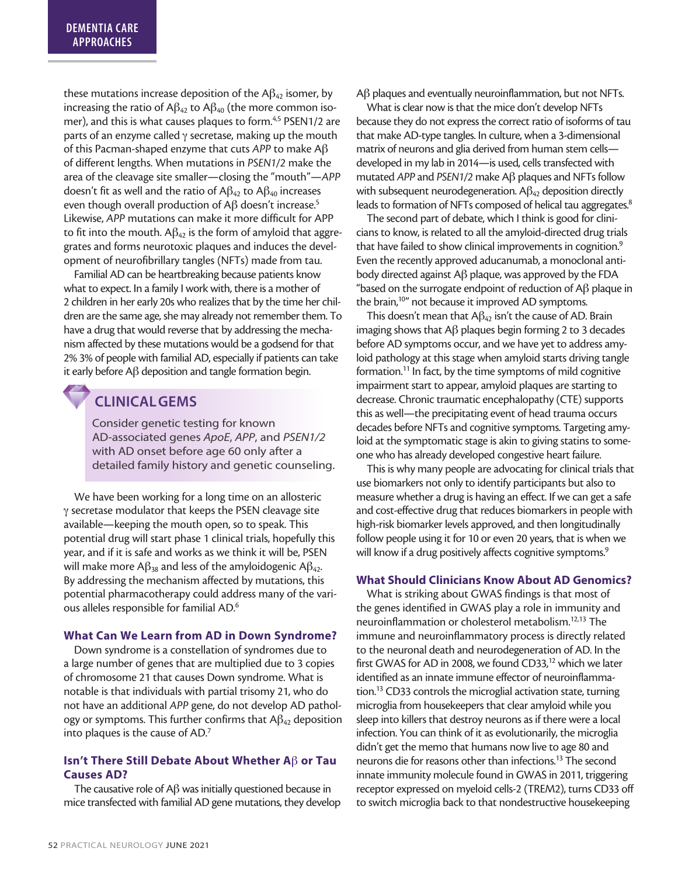these mutations increase deposition of the  $AB_{42}$  isomer, by increasing the ratio of  $\mathsf{AB}_{42}$  to  $\mathsf{AB}_{40}$  (the more common isomer), and this is what causes plaques to form.<sup>4,5</sup> PSEN1/2 are parts of an enzyme called  $\gamma$  secretase, making up the mouth of this Pacman-shaped enzyme that cuts *APP* to make Ab of different lengths. When mutations in *PSEN1/2* make the area of the cleavage site smaller—closing the "mouth"—*APP* doesn't fit as well and the ratio of  $AB_{42}$  to  $AB_{40}$  increases even though overall production of  $\text{AB}$  doesn't increase.<sup>5</sup> Likewise, *APP* mutations can make it more difficult for APP to fit into the mouth.  $A\beta_{42}$  is the form of amyloid that aggregrates and forms neurotoxic plaques and induces the development of neurofibrillary tangles (NFTs) made from tau.

Familial AD can be heartbreaking because patients know what to expect. In a family I work with, there is a mother of 2 children in her early 20s who realizes that by the time her children are the same age, she may already not remember them. To have a drug that would reverse that by addressing the mechanism affected by these mutations would be a godsend for that 2% 3% of people with familial AD, especially if patients can take it early before  $\mathsf{A}\beta$  deposition and tangle formation begin.

## **CLINICALGEMS**

Consider genetic testing for known AD-associated genes *ApoE*, *APP*, and *PSEN1/2* with AD onset before age 60 only after a detailed family history and genetic counseling.

We have been working for a long time on an allosteric  $\gamma$  secretase modulator that keeps the PSEN cleavage site available—keeping the mouth open, so to speak. This potential drug will start phase 1 clinical trials, hopefully this year, and if it is safe and works as we think it will be, PSEN will make more A $\beta_{38}$  and less of the amyloidogenic A $\beta_{42}$ . By addressing the mechanism affected by mutations, this potential pharmacotherapy could address many of the various alleles responsible for familial AD.6

#### **What Can We Learn from AD in Down Syndrome?**

Down syndrome is a constellation of syndromes due to a large number of genes that are multiplied due to 3 copies of chromosome 21 that causes Down syndrome. What is notable is that individuals with partial trisomy 21, who do not have an additional *APP* gene, do not develop AD pathology or symptoms. This further confirms that  $\mathsf{AB}_{42}$  deposition into plaques is the cause of AD.7

### **Isn't There Still Debate About Whether A** $\beta$  or Tau **Causes AD?**

The causative role of  $A\beta$  was initially questioned because in mice transfected with familial AD gene mutations, they develop  $\mathsf{A}\beta$  plaques and eventually neuroinflammation, but not NFTs.

What is clear now is that the mice don't develop NFTs because they do not express the correct ratio of isoforms of tau that make AD-type tangles. In culture, when a 3-dimensional matrix of neurons and glia derived from human stem cells developed in my lab in 2014—is used, cells transfected with mutated *APP* and *PSEN1/2* make *Aβ* plaques and NFTs follow with subsequent neurodegeneration.  $\mathsf{AB}_4$  deposition directly leads to formation of NFTs composed of helical tau aggregates.<sup>8</sup>

The second part of debate, which I think is good for clinicians to know, is related to all the amyloid-directed drug trials that have failed to show clinical improvements in cognition.<sup>9</sup> Even the recently approved aducanumab, a monoclonal antibody directed against  $\mathsf{AB}$  plaque, was approved by the FDA "based on the surrogate endpoint of reduction of  $\mathsf{AB}$  plaque in the brain,<sup>10"</sup> not because it improved AD symptoms.

This doesn't mean that  $AB_{42}$  isn't the cause of AD. Brain imaging shows that  $\mathsf{AB}$  plaques begin forming 2 to 3 decades before AD symptoms occur, and we have yet to address amyloid pathology at this stage when amyloid starts driving tangle formation.<sup>11</sup> In fact, by the time symptoms of mild cognitive impairment start to appear, amyloid plaques are starting to decrease. Chronic traumatic encephalopathy (CTE) supports this as well—the precipitating event of head trauma occurs decades before NFTs and cognitive symptoms. Targeting amyloid at the symptomatic stage is akin to giving statins to someone who has already developed congestive heart failure.

This is why many people are advocating for clinical trials that use biomarkers not only to identify participants but also to measure whether a drug is having an effect. If we can get a safe and cost-effective drug that reduces biomarkers in people with high-risk biomarker levels approved, and then longitudinally follow people using it for 10 or even 20 years, that is when we will know if a drug positively affects cognitive symptoms.<sup>9</sup>

#### **What Should Clinicians Know About AD Genomics?**

What is striking about GWAS findings is that most of the genes identified in GWAS play a role in immunity and neuroinflammation or cholesterol metabolism.12,13 The immune and neuroinflammatory process is directly related to the neuronal death and neurodegeneration of AD. In the first GWAS for AD in 2008, we found CD33,<sup>12</sup> which we later identified as an innate immune effector of neuroinflammation.13 CD33 controls the microglial activation state, turning microglia from housekeepers that clear amyloid while you sleep into killers that destroy neurons as if there were a local infection. You can think of it as evolutionarily, the microglia didn't get the memo that humans now live to age 80 and neurons die for reasons other than infections.<sup>13</sup> The second innate immunity molecule found in GWAS in 2011, triggering receptor expressed on myeloid cells-2 (TREM2), turns CD33 off to switch microglia back to that nondestructive housekeeping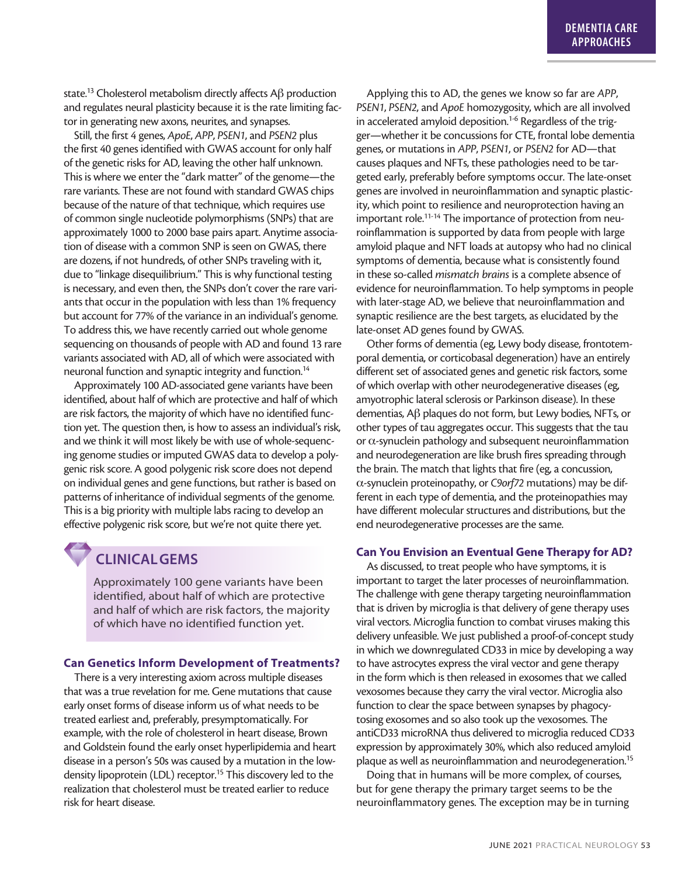state.<sup>13</sup> Cholesterol metabolism directly affects A $\beta$  production and regulates neural plasticity because it is the rate limiting factor in generating new axons, neurites, and synapses.

Still, the first 4 genes, *ApoE*, *APP*, *PSEN1*, and *PSEN2* plus the first 40 genes identified with GWAS account for only half of the genetic risks for AD, leaving the other half unknown. This is where we enter the "dark matter" of the genome—the rare variants. These are not found with standard GWAS chips because of the nature of that technique, which requires use of common single nucleotide polymorphisms (SNPs) that are approximately 1000 to 2000 base pairs apart. Anytime association of disease with a common SNP is seen on GWAS, there are dozens, if not hundreds, of other SNPs traveling with it, due to "linkage disequilibrium." This is why functional testing is necessary, and even then, the SNPs don't cover the rare variants that occur in the population with less than 1% frequency but account for 77% of the variance in an individual's genome. To address this, we have recently carried out whole genome sequencing on thousands of people with AD and found 13 rare variants associated with AD, all of which were associated with neuronal function and synaptic integrity and function.<sup>14</sup>

Approximately 100 AD-associated gene variants have been identified, about half of which are protective and half of which are risk factors, the majority of which have no identified function yet. The question then, is how to assess an individual's risk, and we think it will most likely be with use of whole-sequencing genome studies or imputed GWAS data to develop a polygenic risk score. A good polygenic risk score does not depend on individual genes and gene functions, but rather is based on patterns of inheritance of individual segments of the genome. This is a big priority with multiple labs racing to develop an effective polygenic risk score, but we're not quite there yet.

# **CLINICALGEMS**

Approximately 100 gene variants have been identified, about half of which are protective and half of which are risk factors, the majority of which have no identified function yet.

#### **Can Genetics Inform Development of Treatments?**

There is a very interesting axiom across multiple diseases that was a true revelation for me. Gene mutations that cause early onset forms of disease inform us of what needs to be treated earliest and, preferably, presymptomatically. For example, with the role of cholesterol in heart disease, Brown and Goldstein found the early onset hyperlipidemia and heart disease in a person's 50s was caused by a mutation in the lowdensity lipoprotein (LDL) receptor.<sup>15</sup> This discovery led to the realization that cholesterol must be treated earlier to reduce risk for heart disease.

Applying this to AD, the genes we know so far are *APP*, *PSEN1*, *PSEN2*, and *ApoE* homozygosity, which are all involved in accelerated amyloid deposition.<sup>1-6</sup> Regardless of the trigger—whether it be concussions for CTE, frontal lobe dementia genes, or mutations in *APP*, *PSEN1*, or *PSEN2* for AD—that causes plaques and NFTs, these pathologies need to be targeted early, preferably before symptoms occur. The late-onset genes are involved in neuroinflammation and synaptic plasticity, which point to resilience and neuroprotection having an important role.<sup>11-14</sup> The importance of protection from neuroinflammation is supported by data from people with large amyloid plaque and NFT loads at autopsy who had no clinical symptoms of dementia, because what is consistently found in these so-called *mismatch brains* is a complete absence of evidence for neuroinflammation. To help symptoms in people with later-stage AD, we believe that neuroinflammation and synaptic resilience are the best targets, as elucidated by the late-onset AD genes found by GWAS.

Other forms of dementia (eg, Lewy body disease, frontotemporal dementia, or corticobasal degeneration) have an entirely different set of associated genes and genetic risk factors, some of which overlap with other neurodegenerative diseases (eg, amyotrophic lateral sclerosis or Parkinson disease). In these dementias,  $\mathsf{AB}$  plaques do not form, but Lewy bodies, NFTs, or other types of tau aggregates occur. This suggests that the tau or  $\alpha$ -synuclein pathology and subsequent neuroinflammation and neurodegeneration are like brush fires spreading through the brain. The match that lights that fire (eg, a concussion, a-synuclein proteinopathy, or *C9orf72* mutations) may be different in each type of dementia, and the proteinopathies may have different molecular structures and distributions, but the end neurodegenerative processes are the same.

#### **Can You Envision an Eventual Gene Therapy for AD?**

As discussed, to treat people who have symptoms, it is important to target the later processes of neuroinflammation. The challenge with gene therapy targeting neuroinflammation that is driven by microglia is that delivery of gene therapy uses viral vectors. Microglia function to combat viruses making this delivery unfeasible. We just published a proof-of-concept study in which we downregulated CD33 in mice by developing a way to have astrocytes express the viral vector and gene therapy in the form which is then released in exosomes that we called vexosomes because they carry the viral vector. Microglia also function to clear the space between synapses by phagocytosing exosomes and so also took up the vexosomes. The antiCD33 microRNA thus delivered to microglia reduced CD33 expression by approximately 30%, which also reduced amyloid plaque as well as neuroinflammation and neurodegeneration.<sup>15</sup>

Doing that in humans will be more complex, of courses, but for gene therapy the primary target seems to be the neuroinflammatory genes. The exception may be in turning